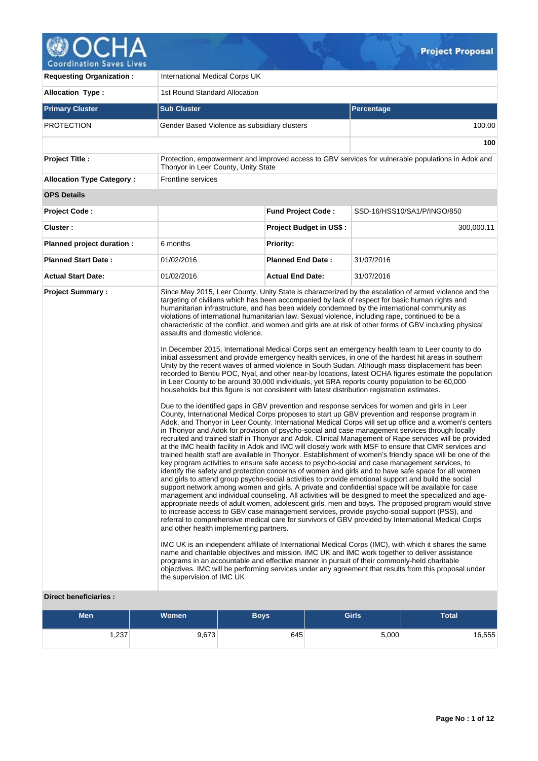

V

| <b>Requesting Organization:</b>  | International Medical Corps UK                                                                                                                                                                           |                           |                                                                                                                                                                                                                                                                                                                                                                                                                                                                                                                                                                                                                                                                                                                                                                                                                                                                                                                                                                                                                                                                                                                                                                                                                                                                                                                                                                                                                                                                                                                                                                                                                                                                                                                                                                                                                                                                                                                                                                                                                                                                                                                                                                                                                                                                                                                                                                                                                                                                                                                                                                                                                                                                                                                                                                                                                                                                                                                                                                                                                                                                            |  |  |  |  |
|----------------------------------|----------------------------------------------------------------------------------------------------------------------------------------------------------------------------------------------------------|---------------------------|----------------------------------------------------------------------------------------------------------------------------------------------------------------------------------------------------------------------------------------------------------------------------------------------------------------------------------------------------------------------------------------------------------------------------------------------------------------------------------------------------------------------------------------------------------------------------------------------------------------------------------------------------------------------------------------------------------------------------------------------------------------------------------------------------------------------------------------------------------------------------------------------------------------------------------------------------------------------------------------------------------------------------------------------------------------------------------------------------------------------------------------------------------------------------------------------------------------------------------------------------------------------------------------------------------------------------------------------------------------------------------------------------------------------------------------------------------------------------------------------------------------------------------------------------------------------------------------------------------------------------------------------------------------------------------------------------------------------------------------------------------------------------------------------------------------------------------------------------------------------------------------------------------------------------------------------------------------------------------------------------------------------------------------------------------------------------------------------------------------------------------------------------------------------------------------------------------------------------------------------------------------------------------------------------------------------------------------------------------------------------------------------------------------------------------------------------------------------------------------------------------------------------------------------------------------------------------------------------------------------------------------------------------------------------------------------------------------------------------------------------------------------------------------------------------------------------------------------------------------------------------------------------------------------------------------------------------------------------------------------------------------------------------------------------------------------------|--|--|--|--|
| <b>Allocation Type:</b>          | 1st Round Standard Allocation                                                                                                                                                                            |                           |                                                                                                                                                                                                                                                                                                                                                                                                                                                                                                                                                                                                                                                                                                                                                                                                                                                                                                                                                                                                                                                                                                                                                                                                                                                                                                                                                                                                                                                                                                                                                                                                                                                                                                                                                                                                                                                                                                                                                                                                                                                                                                                                                                                                                                                                                                                                                                                                                                                                                                                                                                                                                                                                                                                                                                                                                                                                                                                                                                                                                                                                            |  |  |  |  |
| <b>Primary Cluster</b>           | <b>Sub Cluster</b>                                                                                                                                                                                       |                           | <b>Percentage</b>                                                                                                                                                                                                                                                                                                                                                                                                                                                                                                                                                                                                                                                                                                                                                                                                                                                                                                                                                                                                                                                                                                                                                                                                                                                                                                                                                                                                                                                                                                                                                                                                                                                                                                                                                                                                                                                                                                                                                                                                                                                                                                                                                                                                                                                                                                                                                                                                                                                                                                                                                                                                                                                                                                                                                                                                                                                                                                                                                                                                                                                          |  |  |  |  |
| <b>PROTECTION</b>                | Gender Based Violence as subsidiary clusters                                                                                                                                                             |                           | 100.00                                                                                                                                                                                                                                                                                                                                                                                                                                                                                                                                                                                                                                                                                                                                                                                                                                                                                                                                                                                                                                                                                                                                                                                                                                                                                                                                                                                                                                                                                                                                                                                                                                                                                                                                                                                                                                                                                                                                                                                                                                                                                                                                                                                                                                                                                                                                                                                                                                                                                                                                                                                                                                                                                                                                                                                                                                                                                                                                                                                                                                                                     |  |  |  |  |
|                                  |                                                                                                                                                                                                          |                           | 100                                                                                                                                                                                                                                                                                                                                                                                                                                                                                                                                                                                                                                                                                                                                                                                                                                                                                                                                                                                                                                                                                                                                                                                                                                                                                                                                                                                                                                                                                                                                                                                                                                                                                                                                                                                                                                                                                                                                                                                                                                                                                                                                                                                                                                                                                                                                                                                                                                                                                                                                                                                                                                                                                                                                                                                                                                                                                                                                                                                                                                                                        |  |  |  |  |
| <b>Project Title:</b>            | Protection, empowerment and improved access to GBV services for vulnerable populations in Adok and<br>Thonyor in Leer County, Unity State                                                                |                           |                                                                                                                                                                                                                                                                                                                                                                                                                                                                                                                                                                                                                                                                                                                                                                                                                                                                                                                                                                                                                                                                                                                                                                                                                                                                                                                                                                                                                                                                                                                                                                                                                                                                                                                                                                                                                                                                                                                                                                                                                                                                                                                                                                                                                                                                                                                                                                                                                                                                                                                                                                                                                                                                                                                                                                                                                                                                                                                                                                                                                                                                            |  |  |  |  |
| <b>Allocation Type Category:</b> | Frontline services                                                                                                                                                                                       |                           |                                                                                                                                                                                                                                                                                                                                                                                                                                                                                                                                                                                                                                                                                                                                                                                                                                                                                                                                                                                                                                                                                                                                                                                                                                                                                                                                                                                                                                                                                                                                                                                                                                                                                                                                                                                                                                                                                                                                                                                                                                                                                                                                                                                                                                                                                                                                                                                                                                                                                                                                                                                                                                                                                                                                                                                                                                                                                                                                                                                                                                                                            |  |  |  |  |
| <b>OPS Details</b>               |                                                                                                                                                                                                          |                           |                                                                                                                                                                                                                                                                                                                                                                                                                                                                                                                                                                                                                                                                                                                                                                                                                                                                                                                                                                                                                                                                                                                                                                                                                                                                                                                                                                                                                                                                                                                                                                                                                                                                                                                                                                                                                                                                                                                                                                                                                                                                                                                                                                                                                                                                                                                                                                                                                                                                                                                                                                                                                                                                                                                                                                                                                                                                                                                                                                                                                                                                            |  |  |  |  |
| <b>Project Code:</b>             |                                                                                                                                                                                                          | <b>Fund Project Code:</b> | SSD-16/HSS10/SA1/P/INGO/850                                                                                                                                                                                                                                                                                                                                                                                                                                                                                                                                                                                                                                                                                                                                                                                                                                                                                                                                                                                                                                                                                                                                                                                                                                                                                                                                                                                                                                                                                                                                                                                                                                                                                                                                                                                                                                                                                                                                                                                                                                                                                                                                                                                                                                                                                                                                                                                                                                                                                                                                                                                                                                                                                                                                                                                                                                                                                                                                                                                                                                                |  |  |  |  |
| Cluster:                         |                                                                                                                                                                                                          | Project Budget in US\$ :  | 300,000.11                                                                                                                                                                                                                                                                                                                                                                                                                                                                                                                                                                                                                                                                                                                                                                                                                                                                                                                                                                                                                                                                                                                                                                                                                                                                                                                                                                                                                                                                                                                                                                                                                                                                                                                                                                                                                                                                                                                                                                                                                                                                                                                                                                                                                                                                                                                                                                                                                                                                                                                                                                                                                                                                                                                                                                                                                                                                                                                                                                                                                                                                 |  |  |  |  |
| Planned project duration :       | 6 months                                                                                                                                                                                                 | <b>Priority:</b>          |                                                                                                                                                                                                                                                                                                                                                                                                                                                                                                                                                                                                                                                                                                                                                                                                                                                                                                                                                                                                                                                                                                                                                                                                                                                                                                                                                                                                                                                                                                                                                                                                                                                                                                                                                                                                                                                                                                                                                                                                                                                                                                                                                                                                                                                                                                                                                                                                                                                                                                                                                                                                                                                                                                                                                                                                                                                                                                                                                                                                                                                                            |  |  |  |  |
| <b>Planned Start Date:</b>       | 01/02/2016                                                                                                                                                                                               | <b>Planned End Date:</b>  | 31/07/2016                                                                                                                                                                                                                                                                                                                                                                                                                                                                                                                                                                                                                                                                                                                                                                                                                                                                                                                                                                                                                                                                                                                                                                                                                                                                                                                                                                                                                                                                                                                                                                                                                                                                                                                                                                                                                                                                                                                                                                                                                                                                                                                                                                                                                                                                                                                                                                                                                                                                                                                                                                                                                                                                                                                                                                                                                                                                                                                                                                                                                                                                 |  |  |  |  |
| <b>Actual Start Date:</b>        | 01/02/2016                                                                                                                                                                                               | <b>Actual End Date:</b>   | 31/07/2016                                                                                                                                                                                                                                                                                                                                                                                                                                                                                                                                                                                                                                                                                                                                                                                                                                                                                                                                                                                                                                                                                                                                                                                                                                                                                                                                                                                                                                                                                                                                                                                                                                                                                                                                                                                                                                                                                                                                                                                                                                                                                                                                                                                                                                                                                                                                                                                                                                                                                                                                                                                                                                                                                                                                                                                                                                                                                                                                                                                                                                                                 |  |  |  |  |
| <b>Project Summary:</b>          | assaults and domestic violence.<br>households but this figure is not consistent with latest distribution registration estimates.<br>and other health implementing partners.<br>the supervision of IMC UK |                           | Since May 2015, Leer County, Unity State is characterized by the escalation of armed violence and the<br>targeting of civilians which has been accompanied by lack of respect for basic human rights and<br>humanitarian infrastructure, and has been widely condemned by the international community as<br>violations of international humanitarian law. Sexual violence, including rape, continued to be a<br>characteristic of the conflict, and women and girls are at risk of other forms of GBV including physical<br>In December 2015, International Medical Corps sent an emergency health team to Leer county to do<br>initial assessment and provide emergency health services, in one of the hardest hit areas in southern<br>Unity by the recent waves of armed violence in South Sudan. Although mass displacement has been<br>recorded to Bentiu POC, Nyal, and other near-by locations, latest OCHA figures estimate the population<br>in Leer County to be around 30,000 individuals, yet SRA reports county population to be 60,000<br>Due to the identified gaps in GBV prevention and response services for women and girls in Leer<br>County, International Medical Corps proposes to start up GBV prevention and response program in<br>Adok, and Thonyor in Leer County. International Medical Corps will set up office and a women's centers<br>in Thonyor and Adok for provision of psycho-social and case management services through locally<br>recruited and trained staff in Thonyor and Adok. Clinical Management of Rape services will be provided<br>at the IMC health facility in Adok and IMC will closely work with MSF to ensure that CMR services and<br>trained health staff are available in Thonyor. Establishment of women's friendly space will be one of the<br>key program activities to ensure safe access to psycho-social and case management services, to<br>identify the safety and protection concerns of women and girls and to have safe space for all women<br>and girls to attend group psycho-social activities to provide emotional support and build the social<br>support network among women and girls. A private and confidential space will be available for case<br>management and individual counseling. All activities will be designed to meet the specialized and age-<br>appropriate needs of adult women, adolescent girls, men and boys. The proposed program would strive<br>to increase access to GBV case management services, provide psycho-social support (PSS), and<br>referral to comprehensive medical care for survivors of GBV provided by International Medical Corps<br>IMC UK is an independent affiliate of International Medical Corps (IMC), with which it shares the same<br>name and charitable objectives and mission. IMC UK and IMC work together to deliver assistance<br>programs in an accountable and effective manner in pursuit of their commonly-held charitable<br>objectives. IMC will be performing services under any agreement that results from this proposal under |  |  |  |  |

# **Direct beneficiaries :**

| <b>Men</b> | <b>Women</b> | Boys | <b>Girls</b> | <b>Total</b> |
|------------|--------------|------|--------------|--------------|
| ,237       | 9,673        | 645  | 5,000        | 16,555       |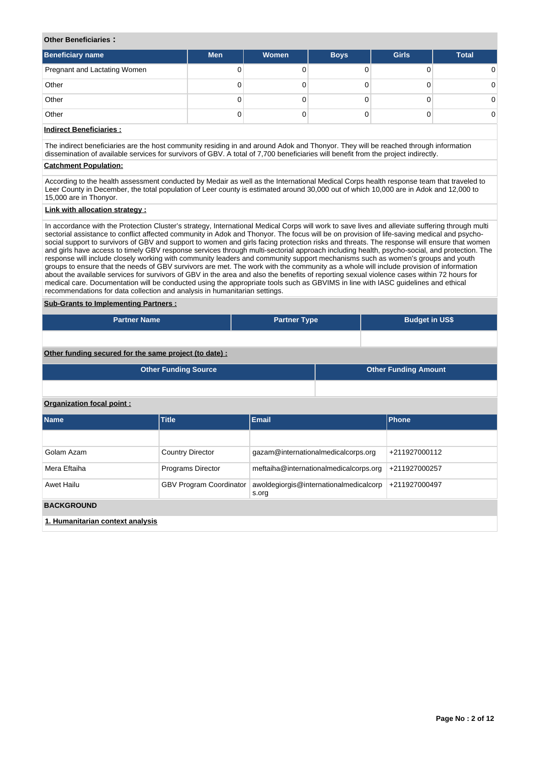## **Other Beneficiaries :**

| <b>Beneficiary name</b>      | <b>Men</b> | Women | <b>Boys</b> | <b>Girls</b> | <b>Total</b> |
|------------------------------|------------|-------|-------------|--------------|--------------|
| Pregnant and Lactating Women |            |       |             |              |              |
| Other                        | 0          |       |             |              |              |
| Other                        | 0          |       |             |              | 0.           |
| Other                        | 0          |       |             |              | 0            |

# **Indirect Beneficiaries :**

The indirect beneficiaries are the host community residing in and around Adok and Thonyor. They will be reached through information dissemination of available services for survivors of GBV. A total of 7,700 beneficiaries will benefit from the project indirectly.

# **Catchment Population:**

According to the health assessment conducted by Medair as well as the International Medical Corps health response team that traveled to Leer County in December, the total population of Leer county is estimated around 30,000 out of which 10,000 are in Adok and 12,000 to 15,000 are in Thonyor.

# **Link with allocation strategy :**

In accordance with the Protection Cluster's strategy, International Medical Corps will work to save lives and alleviate suffering through multi sectorial assistance to conflict affected community in Adok and Thonyor. The focus will be on provision of life-saving medical and psychosocial support to survivors of GBV and support to women and girls facing protection risks and threats. The response will ensure that women and girls have access to timely GBV response services through multi-sectorial approach including health, psycho-social, and protection. The response will include closely working with community leaders and community support mechanisms such as women's groups and youth groups to ensure that the needs of GBV survivors are met. The work with the community as a whole will include provision of information about the available services for survivors of GBV in the area and also the benefits of reporting sexual violence cases within 72 hours for medical care. Documentation will be conducted using the appropriate tools such as GBVIMS in line with IASC guidelines and ethical recommendations for data collection and analysis in humanitarian settings.

#### **Sub-Grants to Implementing Partners :**

| <b>Partner Name</b>                                   | <b>Partner Type</b> | <b>Budget in US\$</b> |
|-------------------------------------------------------|---------------------|-----------------------|
|                                                       |                     |                       |
| Other funding secured for the same project (to date): |                     |                       |

| <b>Other Funding Source</b> | Other Funding Amount |
|-----------------------------|----------------------|
|                             |                      |

# **Organization focal point :**

| <b>Name</b>                      | <b>Title</b>                   | Email                                           | <b>Phone</b>  |
|----------------------------------|--------------------------------|-------------------------------------------------|---------------|
|                                  |                                |                                                 |               |
| Golam Azam                       | <b>Country Director</b>        | gazam@internationalmedicalcorps.org             | +211927000112 |
| Mera Eftaiha                     | <b>Programs Director</b>       | meftaiha@internationalmedicalcorps.org          | +211927000257 |
| Awet Hailu                       | <b>GBV Program Coordinator</b> | awoldegiorgis@internationalmedicalcorp<br>s.org | +211927000497 |
| <b>BACKGROUND</b>                |                                |                                                 |               |
| 1. Humanitarian context analysis |                                |                                                 |               |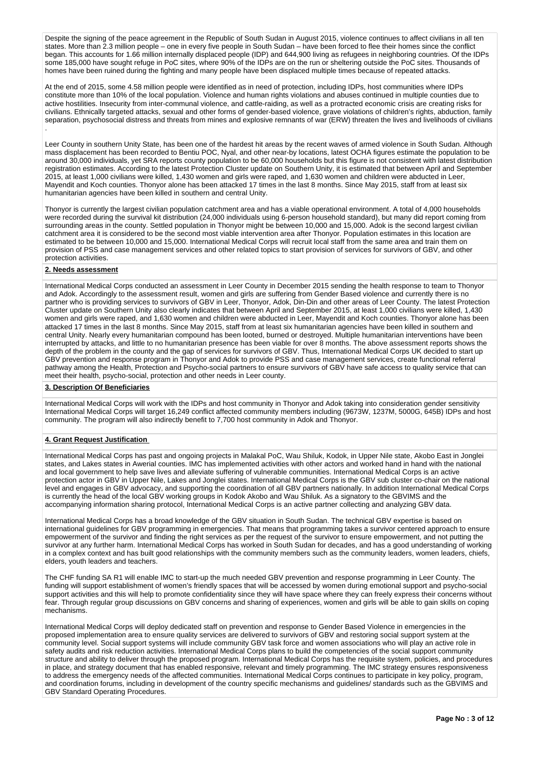Despite the signing of the peace agreement in the Republic of South Sudan in August 2015, violence continues to affect civilians in all ten states. More than 2.3 million people – one in every five people in South Sudan – have been forced to flee their homes since the conflict began. This accounts for 1.66 million internally displaced people (IDP) and 644,900 living as refugees in neighboring countries. Of the IDPs some 185,000 have sought refuge in PoC sites, where 90% of the IDPs are on the run or sheltering outside the PoC sites. Thousands of homes have been ruined during the fighting and many people have been displaced multiple times because of repeated attacks.

At the end of 2015, some 4.58 million people were identified as in need of protection, including IDPs, host communities where IDPs constitute more than 10% of the local population. Violence and human rights violations and abuses continued in multiple counties due to active hostilities. Insecurity from inter-communal violence, and cattle-raiding, as well as a protracted economic crisis are creating risks for civilians. Ethnically targeted attacks, sexual and other forms of gender-based violence, grave violations of children's rights, abduction, family separation, psychosocial distress and threats from mines and explosive remnants of war (ERW) threaten the lives and livelihoods of civilians .

Leer County in southern Unity State, has been one of the hardest hit areas by the recent waves of armed violence in South Sudan. Although mass displacement has been recorded to Bentiu POC, Nyal, and other near-by locations, latest OCHA figures estimate the population to be around 30,000 individuals, yet SRA reports county population to be 60,000 households but this figure is not consistent with latest distribution registration estimates. According to the latest Protection Cluster update on Southern Unity, it is estimated that between April and September 2015, at least 1,000 civilians were killed, 1,430 women and girls were raped, and 1,630 women and children were abducted in Leer, Mayendit and Koch counties. Thonyor alone has been attacked 17 times in the last 8 months. Since May 2015, staff from at least six humanitarian agencies have been killed in southern and central Unity.

Thonyor is currently the largest civilian population catchment area and has a viable operational environment. A total of 4,000 households were recorded during the survival kit distribution (24,000 individuals using 6-person household standard), but many did report coming from surrounding areas in the county. Settled population in Thonyor might be between 10,000 and 15,000. Adok is the second largest civilian catchment area it is considered to be the second most viable intervention area after Thonyor. Population estimates in this location are estimated to be between 10,000 and 15,000. International Medical Corps will recruit local staff from the same area and train them on provision of PSS and case management services and other related topics to start provision of services for survivors of GBV, and other protection activities.

### **2. Needs assessment**

International Medical Corps conducted an assessment in Leer County in December 2015 sending the health response to team to Thonyor and Adok. Accordingly to the assessment result, women and girls are suffering from Gender Based violence and currently there is no partner who is providing services to survivors of GBV in Leer, Thonyor, Adok, Din-Din and other areas of Leer County. The latest Protection Cluster update on Southern Unity also clearly indicates that between April and September 2015, at least 1,000 civilians were killed, 1,430 women and girls were raped, and 1,630 women and children were abducted in Leer, Mayendit and Koch counties. Thonyor alone has been attacked 17 times in the last 8 months. Since May 2015, staff from at least six humanitarian agencies have been killed in southern and central Unity. Nearly every humanitarian compound has been looted, burned or destroyed. Multiple humanitarian interventions have been interrupted by attacks, and little to no humanitarian presence has been viable for over 8 months. The above assessment reports shows the depth of the problem in the county and the gap of services for survivors of GBV. Thus, International Medical Corps UK decided to start up GBV prevention and response program in Thonyor and Adok to provide PSS and case management services, create functional referral pathway among the Health, Protection and Psycho-social partners to ensure survivors of GBV have safe access to quality service that can meet their health, psycho-social, protection and other needs in Leer county.

#### **3. Description Of Beneficiaries**

International Medical Corps will work with the IDPs and host community in Thonyor and Adok taking into consideration gender sensitivity International Medical Corps will target 16,249 conflict affected community members including (9673W, 1237M, 5000G, 645B) IDPs and host community. The program will also indirectly benefit to 7,700 host community in Adok and Thonyor.

## **4. Grant Request Justification**

International Medical Corps has past and ongoing projects in Malakal PoC, Wau Shiluk, Kodok, in Upper Nile state, Akobo East in Jonglei states, and Lakes states in Awerial counties. IMC has implemented activities with other actors and worked hand in hand with the national and local government to help save lives and alleviate suffering of vulnerable communities. International Medical Corps is an active protection actor in GBV in Upper Nile, Lakes and Jonglei states. International Medical Corps is the GBV sub cluster co-chair on the national level and engages in GBV advocacy, and supporting the coordination of all GBV partners nationally. In addition International Medical Corps is currently the head of the local GBV working groups in Kodok Akobo and Wau Shiluk. As a signatory to the GBVIMS and the accompanying information sharing protocol, International Medical Corps is an active partner collecting and analyzing GBV data.

International Medical Corps has a broad knowledge of the GBV situation in South Sudan. The technical GBV expertise is based on international guidelines for GBV programming in emergencies. That means that programming takes a survivor centered approach to ensure empowerment of the survivor and finding the right services as per the request of the survivor to ensure empowerment, and not putting the survivor at any further harm. International Medical Corps has worked in South Sudan for decades, and has a good understanding of working in a complex context and has built good relationships with the community members such as the community leaders, women leaders, chiefs, elders, youth leaders and teachers.

The CHF funding SA R1 will enable IMC to start-up the much needed GBV prevention and response programming in Leer County. The funding will support establishment of women's friendly spaces that will be accessed by women during emotional support and psycho-social support activities and this will help to promote confidentiality since they will have space where they can freely express their concerns without fear. Through regular group discussions on GBV concerns and sharing of experiences, women and girls will be able to gain skills on coping mechanisms.

International Medical Corps will deploy dedicated staff on prevention and response to Gender Based Violence in emergencies in the proposed implementation area to ensure quality services are delivered to survivors of GBV and restoring social support system at the community level. Social support systems will include community GBV task force and women associations who will play an active role in safety audits and risk reduction activities. International Medical Corps plans to build the competencies of the social support community structure and ability to deliver through the proposed program. International Medical Corps has the requisite system, policies, and procedures in place, and strategy document that has enabled responsive, relevant and timely programming. The IMC strategy ensures responsiveness to address the emergency needs of the affected communities. International Medical Corps continues to participate in key policy, program, and coordination forums, including in development of the country specific mechanisms and guidelines/ standards such as the GBVIMS and GBV Standard Operating Procedures.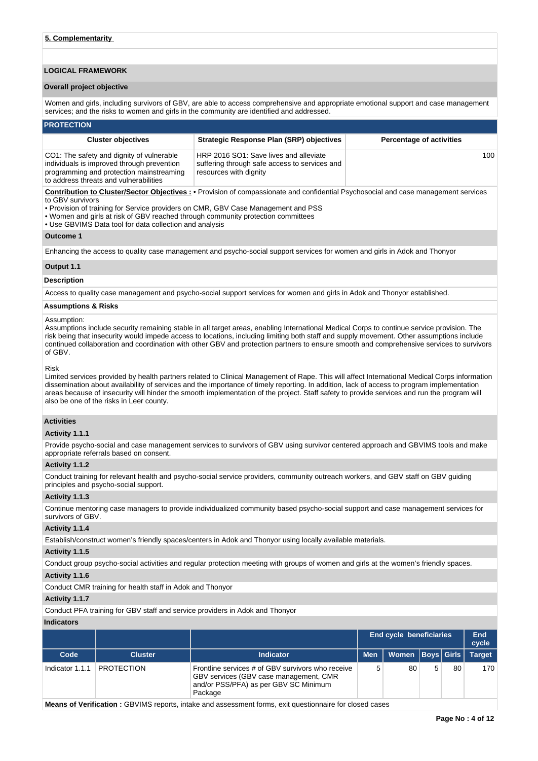# **LOGICAL FRAMEWORK**

### **Overall project objective**

Women and girls, including survivors of GBV, are able to access comprehensive and appropriate emotional support and case management services; and the risks to women and girls in the community are identified and addressed.

#### **PROTECTION**

| <b>Cluster objectives</b>                                                                                                                                                     | <b>Strategic Response Plan (SRP) objectives</b>                                                                   | <b>Percentage of activities</b> |
|-------------------------------------------------------------------------------------------------------------------------------------------------------------------------------|-------------------------------------------------------------------------------------------------------------------|---------------------------------|
| CO1: The safety and dignity of vulnerable<br>individuals is improved through prevention<br>programming and protection mainstreaming<br>to address threats and vulnerabilities | HRP 2016 SO1: Save lives and alleviate<br>suffering through safe access to services and<br>resources with dignity | 100                             |

**Contribution to Cluster/Sector Objectives :** • Provision of compassionate and confidential Psychosocial and case management services to GBV survivors

- Provision of training for Service providers on CMR, GBV Case Management and PSS
- Women and girls at risk of GBV reached through community protection committees
- Use GBVIMS Data tool for data collection and analysis

## **Outcome 1**

Enhancing the access to quality case management and psycho-social support services for women and girls in Adok and Thonyor

### **Output 1.1**

## **Description**

Access to quality case management and psycho-social support services for women and girls in Adok and Thonyor established.

#### **Assumptions & Risks**

#### Assumption:

Assumptions include security remaining stable in all target areas, enabling International Medical Corps to continue service provision. The risk being that insecurity would impede access to locations, including limiting both staff and supply movement. Other assumptions include continued collaboration and coordination with other GBV and protection partners to ensure smooth and comprehensive services to survivors of GBV.

#### Risk

Limited services provided by health partners related to Clinical Management of Rape. This will affect International Medical Corps information dissemination about availability of services and the importance of timely reporting. In addition, lack of access to program implementation areas because of insecurity will hinder the smooth implementation of the project. Staff safety to provide services and run the program will also be one of the risks in Leer county.

#### **Activities**

#### **Activity 1.1.1**

Provide psycho-social and case management services to survivors of GBV using survivor centered approach and GBVIMS tools and make appropriate referrals based on consent.

#### **Activity 1.1.2**

Conduct training for relevant health and psycho-social service providers, community outreach workers, and GBV staff on GBV guiding principles and psycho-social support.

#### **Activity 1.1.3**

Continue mentoring case managers to provide individualized community based psycho-social support and case management services for survivors of GBV.

## **Activity 1.1.4**

Establish/construct women's friendly spaces/centers in Adok and Thonyor using locally available materials.

#### **Activity 1.1.5**

Conduct group psycho-social activities and regular protection meeting with groups of women and girls at the women's friendly spaces.

#### **Activity 1.1.6**

Conduct CMR training for health staff in Adok and Thonyor

# **Activity 1.1.7**

Conduct PFA training for GBV staff and service providers in Adok and Thonyor

#### **Indicators**

|                 |                   |                                                                                                                                                 |            | End cycle beneficiaries |  |    |               |  |
|-----------------|-------------------|-------------------------------------------------------------------------------------------------------------------------------------------------|------------|-------------------------|--|----|---------------|--|
| Code            | <b>Cluster</b>    | <b>Indicator</b>                                                                                                                                | <b>Men</b> | Women   Boys   Girls    |  |    | <b>Target</b> |  |
| Indicator 1.1.1 | <b>PROTECTION</b> | Frontline services # of GBV survivors who receive<br>GBV services (GBV case management, CMR<br>and/or PSS/PFA) as per GBV SC Minimum<br>Package | 5          | 80                      |  | 80 | 170           |  |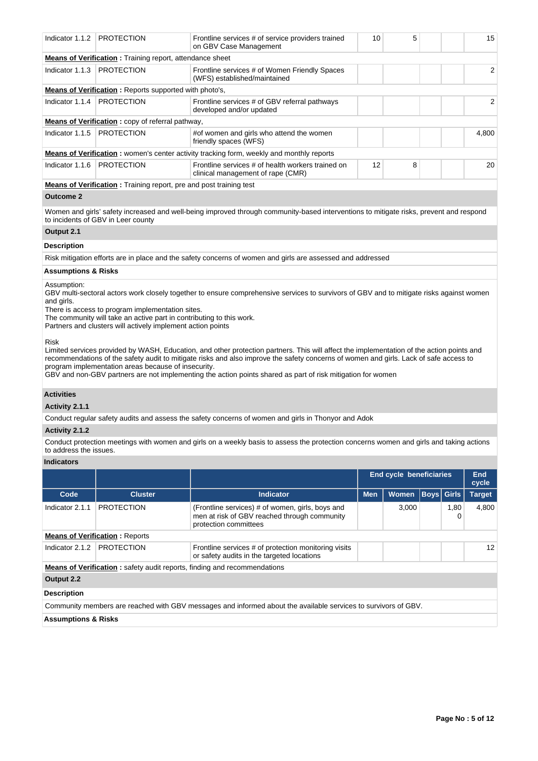| Indicator $1.1.2$            | <b>PROTECTION</b>                                                         | Frontline services # of service providers trained<br>on GBV Case Management                      | 10 | 5 | 15    |
|------------------------------|---------------------------------------------------------------------------|--------------------------------------------------------------------------------------------------|----|---|-------|
|                              | <b>Means of Verification:</b> Training report, attendance sheet           |                                                                                                  |    |   |       |
| Indicator $1.1.3$            | <b>PROTECTION</b>                                                         | Frontline services # of Women Friendly Spaces<br>(WFS) established/maintained                    |    |   | 2     |
|                              | <b>Means of Verification:</b> Reports supported with photo's,             |                                                                                                  |    |   |       |
| Indicator 1.1.4   PROTECTION |                                                                           | Frontline services # of GBV referral pathways<br>developed and/or updated                        |    |   | 2     |
|                              | <b>Means of Verification:</b> copy of referral pathway,                   |                                                                                                  |    |   |       |
| Indicator 1.1.5              | <b>PROTECTION</b>                                                         | #of women and girls who attend the women<br>friendly spaces (WFS)                                |    |   | 4.800 |
|                              |                                                                           | <b>Means of Verification</b> : women's center activity tracking form, weekly and monthly reports |    |   |       |
| Indicator 1.1.6              | <b>PROTECTION</b>                                                         | Frontline services # of health workers trained on<br>clinical management of rape (CMR)           | 12 | 8 | 20    |
|                              | <b>Means of Verification:</b> Training report, pre and post training test |                                                                                                  |    |   |       |

#### **Outcome 2**

Women and girls' safety increased and well-being improved through community-based interventions to mitigate risks, prevent and respond to incidents of GBV in Leer county

# **Output 2.1**

## **Description**

Risk mitigation efforts are in place and the safety concerns of women and girls are assessed and addressed

## **Assumptions & Risks**

## Assumption:

GBV multi-sectoral actors work closely together to ensure comprehensive services to survivors of GBV and to mitigate risks against women and girls.

There is access to program implementation sites.

The community will take an active part in contributing to this work.

Partners and clusters will actively implement action points

Risk

Limited services provided by WASH, Education, and other protection partners. This will affect the implementation of the action points and recommendations of the safety audit to mitigate risks and also improve the safety concerns of women and girls. Lack of safe access to program implementation areas because of insecurity.

GBV and non-GBV partners are not implementing the action points shared as part of risk mitigation for women

# **Activities**

**Activity 2.1.1** 

Conduct regular safety audits and assess the safety concerns of women and girls in Thonyor and Adok

# **Activity 2.1.2**

Conduct protection meetings with women and girls on a weekly basis to assess the protection concerns women and girls and taking actions to address the issues.

# **Indicators**

|                                |                                       |                                                                                                                           | <b>End cycle beneficiaries</b> |              |  |              | <b>End</b><br>cycle |
|--------------------------------|---------------------------------------|---------------------------------------------------------------------------------------------------------------------------|--------------------------------|--------------|--|--------------|---------------------|
| Code                           | <b>Cluster</b>                        | <b>Indicator</b>                                                                                                          | <b>Men</b>                     | <b>Women</b> |  | Boys   Girls | <b>Target</b>       |
| Indicator 2.1.1                | <b>PROTECTION</b>                     | (Frontline services) # of women, girls, boys and<br>men at risk of GBV reached through community<br>protection committees |                                | 3.000        |  | 1,80<br>0    | 4.800               |
|                                | <b>Means of Verification: Reports</b> |                                                                                                                           |                                |              |  |              |                     |
| Indicator 2.1.2                | <b>PROTECTION</b>                     | Frontline services # of protection monitoring visits<br>or safety audits in the targeted locations                        |                                |              |  |              | 12                  |
|                                |                                       | <b>Means of Verification:</b> safety audit reports, finding and recommendations                                           |                                |              |  |              |                     |
| Output 2.2                     |                                       |                                                                                                                           |                                |              |  |              |                     |
| <b>Description</b>             |                                       |                                                                                                                           |                                |              |  |              |                     |
|                                |                                       | Community members are reached with GBV messages and informed about the available services to survivors of GBV.            |                                |              |  |              |                     |
| <b>Assumptions &amp; Risks</b> |                                       |                                                                                                                           |                                |              |  |              |                     |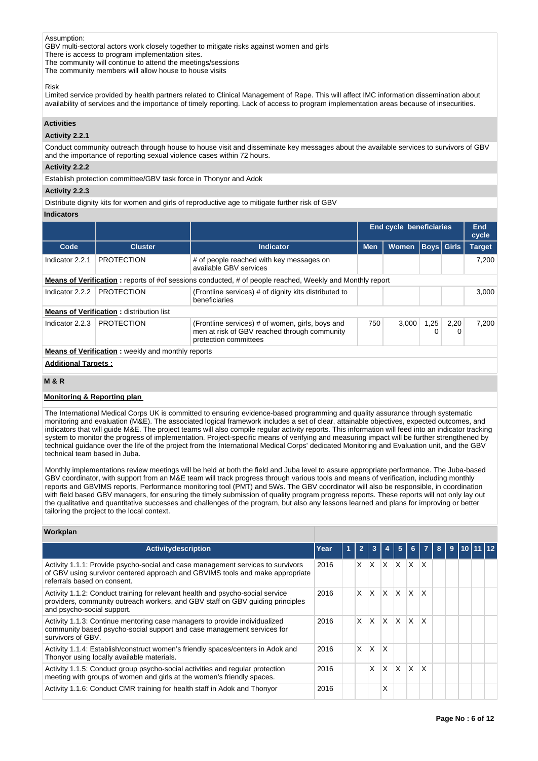### Assumption:

GBV multi-sectoral actors work closely together to mitigate risks against women and girls

There is access to program implementation sites.

The community will continue to attend the meetings/sessions

The community members will allow house to house visits

#### Risk

Limited service provided by health partners related to Clinical Management of Rape. This will affect IMC information dissemination about availability of services and the importance of timely reporting. Lack of access to program implementation areas because of insecurities.

# **Activities**

# **Activity 2.2.1**

Conduct community outreach through house to house visit and disseminate key messages about the available services to survivors of GBV and the importance of reporting sexual violence cases within 72 hours.

# **Activity 2.2.2**

Establish protection committee/GBV task force in Thonyor and Adok

# **Activity 2.2.3**

Distribute dignity kits for women and girls of reproductive age to mitigate further risk of GBV

## **Indicators**

|                            |                                                          |                                                                                                                           | <b>End cycle beneficiaries</b> |                             |      |           | End<br>cycle  |
|----------------------------|----------------------------------------------------------|---------------------------------------------------------------------------------------------------------------------------|--------------------------------|-----------------------------|------|-----------|---------------|
| Code                       | <b>Cluster</b>                                           | <b>Indicator</b>                                                                                                          | <b>Men</b>                     | Boys  Girls<br><b>Women</b> |      |           | <b>Target</b> |
| Indicator 2.2.1            | <b>PROTECTION</b>                                        | # of people reached with key messages on<br>available GBV services                                                        |                                |                             |      |           | 7.200         |
|                            |                                                          | <b>Means of Verification:</b> reports of #of sessions conducted, # of people reached, Weekly and Monthly report           |                                |                             |      |           |               |
| Indicator 2.2.2            | <b>PROTECTION</b>                                        | (Frontline services) # of dignity kits distributed to<br>beneficiaries                                                    |                                |                             |      |           | 3.000         |
|                            | <b>Means of Verification: distribution list</b>          |                                                                                                                           |                                |                             |      |           |               |
| Indicator 2.2.3            | <b>PROTECTION</b>                                        | (Frontline services) # of women, girls, boys and<br>men at risk of GBV reached through community<br>protection committees | 750                            | 3.000                       | 1,25 | 2,20<br>0 | 7.200         |
|                            | <b>Means of Verification:</b> weekly and monthly reports |                                                                                                                           |                                |                             |      |           |               |
| <b>Additional Targets:</b> |                                                          |                                                                                                                           |                                |                             |      |           |               |

# **M & R**

# **Monitoring & Reporting plan**

The International Medical Corps UK is committed to ensuring evidence-based programming and quality assurance through systematic monitoring and evaluation (M&E). The associated logical framework includes a set of clear, attainable objectives, expected outcomes, and indicators that will guide M&E. The project teams will also compile regular activity reports. This information will feed into an indicator tracking system to monitor the progress of implementation. Project-specific means of verifying and measuring impact will be further strengthened by technical guidance over the life of the project from the International Medical Corps' dedicated Monitoring and Evaluation unit, and the GBV technical team based in Juba.

Monthly implementations review meetings will be held at both the field and Juba level to assure appropriate performance. The Juba-based GBV coordinator, with support from an M&E team will track progress through various tools and means of verification, including monthly reports and GBVIMS reports, Performance monitoring tool (PMT) and 5Ws. The GBV coordinator will also be responsible, in coordination with field based GBV managers, for ensuring the timely submission of quality program progress reports. These reports will not only lay out the qualitative and quantitative successes and challenges of the program, but also any lessons learned and plans for improving or better tailoring the project to the local context.

## **Workplan**

| <b>Activitydescription</b>                                                                                                                                                                      | Year | $\overline{2}$ | 3            |                           | 5        |              |              | 9 | 10   11   12 |  |
|-------------------------------------------------------------------------------------------------------------------------------------------------------------------------------------------------|------|----------------|--------------|---------------------------|----------|--------------|--------------|---|--------------|--|
| Activity 1.1.1: Provide psycho-social and case management services to survivors<br>of GBV using survivor centered approach and GBVIMS tools and make appropriate<br>referrals based on consent. | 2016 | X.             | $\mathsf{X}$ | $X$ $X$                   |          | X.           | ΙX           |   |              |  |
| Activity 1.1.2: Conduct training for relevant health and psycho-social service<br>providers, community outreach workers, and GBV staff on GBV quiding principles<br>and psycho-social support.  | 2016 | X.             | $\mathsf{X}$ | $\mathsf{X}$ $\mathsf{X}$ |          | <b>X</b>     | $\mathsf{x}$ |   |              |  |
| Activity 1.1.3: Continue mentoring case managers to provide individualized<br>community based psycho-social support and case management services for<br>survivors of GBV.                       | 2016 | X.             | ΙX.          | ΙX.                       | X.       | $\mathsf{x}$ | X            |   |              |  |
| Activity 1.1.4: Establish/construct women's friendly spaces/centers in Adok and<br>Thonyor using locally available materials.                                                                   | 2016 | X.             | X.           | <sup>X</sup>              |          |              |              |   |              |  |
| Activity 1.1.5: Conduct group psycho-social activities and regular protection<br>meeting with groups of women and girls at the women's friendly spaces.                                         | 2016 |                | X            | X.                        | $\times$ | $\mathsf{x}$ | X            |   |              |  |
| Activity 1.1.6: Conduct CMR training for health staff in Adok and Thonyor                                                                                                                       | 2016 |                |              | x                         |          |              |              |   |              |  |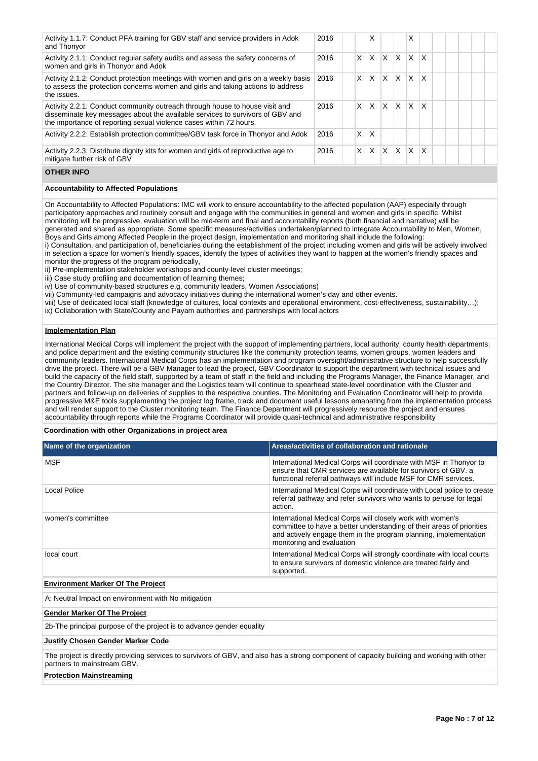| Activity 1.1.7: Conduct PFA training for GBV staff and service providers in Adok<br>and Thonyor                                                                                                                                    | 2016 |          | x |              |              | X            |                         |  |  |  |
|------------------------------------------------------------------------------------------------------------------------------------------------------------------------------------------------------------------------------------|------|----------|---|--------------|--------------|--------------|-------------------------|--|--|--|
| Activity 2.1.1: Conduct regular safety audits and assess the safety concerns of<br>women and girls in Thonyor and Adok                                                                                                             | 2016 | X        | X | $\mathsf{x}$ | $\mathsf{x}$ | ΙX.          | $\mathsf{I} \mathsf{X}$ |  |  |  |
| Activity 2.1.2: Conduct protection meetings with women and girls on a weekly basis<br>to assess the protection concerns women and girls and taking actions to address<br>the issues.                                               | 2016 | $\times$ | X | $\mathsf{x}$ | ΙX           | $X$ $X$      |                         |  |  |  |
| Activity 2.2.1: Conduct community outreach through house to house visit and<br>disseminate key messages about the available services to survivors of GBV and<br>the importance of reporting sexual violence cases within 72 hours. | 2016 | X        | X | $\times$     | ΙX           | ΙX           | $\mathsf{I} \mathsf{X}$ |  |  |  |
| Activity 2.2.2: Establish protection committee/GBV task force in Thonyor and Adok                                                                                                                                                  | 2016 | X        | x |              |              |              |                         |  |  |  |
| Activity 2.2.3: Distribute dignity kits for women and girls of reproductive age to<br>mitigate further risk of GBV                                                                                                                 | 2016 | X        | X | X            | $\mathsf{x}$ | <sup>X</sup> | $\mathsf{I} \mathsf{X}$ |  |  |  |

# **OTHER INFO**

# **Accountability to Affected Populations**

On Accountability to Affected Populations: IMC will work to ensure accountability to the affected population (AAP) especially through participatory approaches and routinely consult and engage with the communities in general and women and girls in specific. Whilst monitoring will be progressive, evaluation will be mid-term and final and accountability reports (both financial and narrative) will be generated and shared as appropriate. Some specific measures/activities undertaken/planned to integrate Accountability to Men, Women, Boys and Girls among Affected People in the project design, implementation and monitoring shall include the following:

i) Consultation, and participation of, beneficiaries during the establishment of the project including women and girls will be actively involved in selection a space for women's friendly spaces, identify the types of activities they want to happen at the women's friendly spaces and monitor the progress of the program periodically,

ii) Pre-implementation stakeholder workshops and county-level cluster meetings;

iii) Case study profiling and documentation of learning themes;

iv) Use of community-based structures e.g. community leaders, Women Associations)

vii) Community-led campaigns and advocacy initiatives during the international women's day and other events.

viii) Use of dedicated local staff (knowledge of cultures, local contexts and operational environment, cost-effectiveness, sustainability…);

ix) Collaboration with State/County and Payam authorities and partnerships with local actors

# **Implementation Plan**

International Medical Corps will implement the project with the support of implementing partners, local authority, county health departments, and police department and the existing community structures like the community protection teams, women groups, women leaders and community leaders. International Medical Corps has an implementation and program oversight/administrative structure to help successfully drive the project. There will be a GBV Manager to lead the project, GBV Coordinator to support the department with technical issues and build the capacity of the field staff, supported by a team of staff in the field and including the Programs Manager, the Finance Manager, and the Country Director. The site manager and the Logistics team will continue to spearhead state-level coordination with the Cluster and partners and follow-up on deliveries of supplies to the respective counties. The Monitoring and Evaluation Coordinator will help to provide progressive M&E tools supplementing the project log frame, track and document useful lessons emanating from the implementation process and will render support to the Cluster monitoring team. The Finance Department will progressively resource the project and ensures accountability through reports while the Programs Coordinator will provide quasi-technical and administrative responsibility

**Coordination with other Organizations in project area**

| Name of the organization                            | Areas/activities of collaboration and rationale                                                                                                                                                                                      |  |  |  |  |  |
|-----------------------------------------------------|--------------------------------------------------------------------------------------------------------------------------------------------------------------------------------------------------------------------------------------|--|--|--|--|--|
| <b>MSF</b>                                          | International Medical Corps will coordinate with MSF in Thonyor to<br>ensure that CMR services are available for survivors of GBV, a<br>functional referral pathways will include MSF for CMR services.                              |  |  |  |  |  |
| Local Police                                        | International Medical Corps will coordinate with Local police to create<br>referral pathway and refer survivors who wants to peruse for legal<br>action.                                                                             |  |  |  |  |  |
| women's committee                                   | International Medical Corps will closely work with women's<br>committee to have a better understanding of their areas of priorities<br>and actively engage them in the program planning, implementation<br>monitoring and evaluation |  |  |  |  |  |
| local court                                         | International Medical Corps will strongly coordinate with local courts<br>to ensure survivors of domestic violence are treated fairly and<br>supported.                                                                              |  |  |  |  |  |
| <b>Environment Marker Of The Project</b>            |                                                                                                                                                                                                                                      |  |  |  |  |  |
| A: Neutral Impact on environment with No mitigation |                                                                                                                                                                                                                                      |  |  |  |  |  |
| <b>Gender Marker Of The Project</b>                 |                                                                                                                                                                                                                                      |  |  |  |  |  |

2b-The principal purpose of the project is to advance gender equality

### **Justify Chosen Gender Marker Code**

The project is directly providing services to survivors of GBV, and also has a strong component of capacity building and working with other partners to mainstream GBV.

# **Protection Mainstreaming**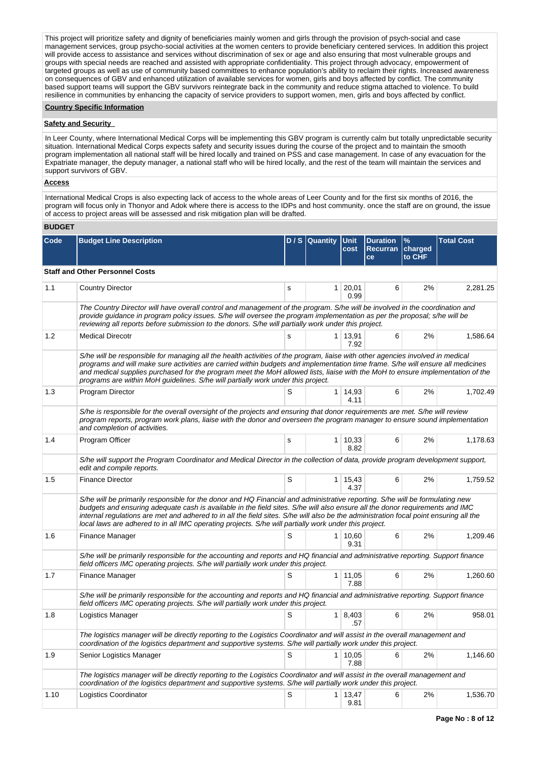This project will prioritize safety and dignity of beneficiaries mainly women and girls through the provision of psych-social and case management services, group psycho-social activities at the women centers to provide beneficiary centered services. In addition this project will provide access to assistance and services without discrimination of sex or age and also ensuring that most vulnerable groups and groups with special needs are reached and assisted with appropriate confidentiality. This project through advocacy, empowerment of targeted groups as well as use of community based committees to enhance population's ability to reclaim their rights. Increased awareness on consequences of GBV and enhanced utilization of available services for women, girls and boys affected by conflict. The community based support teams will support the GBV survivors reintegrate back in the community and reduce stigma attached to violence. To build resilience in communities by enhancing the capacity of service providers to support women, men, girls and boys affected by conflict.

## **Country Specific Information**

## **Safety and Security**

In Leer County, where International Medical Corps will be implementing this GBV program is currently calm but totally unpredictable security situation. International Medical Corps expects safety and security issues during the course of the project and to maintain the smooth program implementation all national staff will be hired locally and trained on PSS and case management. In case of any evacuation for the Expatriate manager, the deputy manager, a national staff who will be hired locally, and the rest of the team will maintain the services and support survivors of GBV.

### **Access**

International Medical Crops is also expecting lack of access to the whole areas of Leer County and for the first six months of 2016, the program will focus only in Thonyor and Adok where there is access to the IDPs and host community. once the staff are on ground, the issue of access to project areas will be assessed and risk mitigation plan will be drafted.

## **BUDGET**

| Code | <b>Budget Line Description</b>                                                                                                                                                                                                                                                                                                                                                                                                                                                                                 |   | D / S Quantity | Unit<br>cost           | <b>Duration</b><br><b>Recurran</b><br>ce | $\%$<br>charged<br>to CHF | <b>Total Cost</b> |  |  |  |
|------|----------------------------------------------------------------------------------------------------------------------------------------------------------------------------------------------------------------------------------------------------------------------------------------------------------------------------------------------------------------------------------------------------------------------------------------------------------------------------------------------------------------|---|----------------|------------------------|------------------------------------------|---------------------------|-------------------|--|--|--|
|      | <b>Staff and Other Personnel Costs</b>                                                                                                                                                                                                                                                                                                                                                                                                                                                                         |   |                |                        |                                          |                           |                   |  |  |  |
| 1.1  | <b>Country Director</b>                                                                                                                                                                                                                                                                                                                                                                                                                                                                                        | s | 1 <sup>1</sup> | 20,01<br>0.99          | 6                                        | 2%                        | 2,281.25          |  |  |  |
|      | The Country Director will have overall control and management of the program. S/he will be involved in the coordination and<br>provide guidance in program policy issues. S/he will oversee the program implementation as per the proposal; s/he will be<br>reviewing all reports before submission to the donors. S/he will partially work under this project.                                                                                                                                                |   |                |                        |                                          |                           |                   |  |  |  |
| 1.2  | <b>Medical Direcotr</b>                                                                                                                                                                                                                                                                                                                                                                                                                                                                                        | S | $\mathbf{1}$   | 13,91<br>7.92          | 6                                        | 2%                        | 1,586.64          |  |  |  |
|      | S/he will be responsible for managing all the health activities of the program, liaise with other agencies involved in medical<br>programs and will make sure activities are carried within budgets and implementation time frame. S/he will ensure all medicines<br>and medical supplies purchased for the program meet the MoH allowed lists, liaise with the MoH to ensure implementation of the<br>programs are within MoH guidelines. S/he will partially work under this project.                        |   |                |                        |                                          |                           |                   |  |  |  |
| 1.3  | Program Director                                                                                                                                                                                                                                                                                                                                                                                                                                                                                               | S | 1 <sup>1</sup> | 14,93<br>4.11          | 6                                        | 2%                        | 1,702.49          |  |  |  |
|      | S/he is responsible for the overall oversight of the projects and ensuring that donor requirements are met. S/he will review<br>program reports, program work plans, liaise with the donor and overseen the program manager to ensure sound implementation<br>and completion of activities.                                                                                                                                                                                                                    |   |                |                        |                                          |                           |                   |  |  |  |
| 1.4  | Program Officer                                                                                                                                                                                                                                                                                                                                                                                                                                                                                                | s |                | $1 \mid 10,33$<br>8.82 | 6                                        | 2%                        | 1,178.63          |  |  |  |
|      | S/he will support the Program Coordinator and Medical Director in the collection of data, provide program development support,<br>edit and compile reports.                                                                                                                                                                                                                                                                                                                                                    |   |                |                        |                                          |                           |                   |  |  |  |
| 1.5  | <b>Finance Director</b>                                                                                                                                                                                                                                                                                                                                                                                                                                                                                        | S |                | $1 \mid 15,43$<br>4.37 | 6                                        | 2%                        | 1,759.52          |  |  |  |
|      | S/he will be primarily responsible for the donor and HQ Financial and administrative reporting. S/he will be formulating new<br>budgets and ensuring adequate cash is available in the field sites. S/he will also ensure all the donor requirements and IMC<br>internal regulations are met and adhered to in all the field sites. S/he will also be the administration focal point ensuring all the<br>local laws are adhered to in all IMC operating projects. S/he will partially work under this project. |   |                |                        |                                          |                           |                   |  |  |  |
| 1.6  | Finance Manager                                                                                                                                                                                                                                                                                                                                                                                                                                                                                                | S |                | $1 \mid 10,60$<br>9.31 | 6                                        | 2%                        | 1,209.46          |  |  |  |
|      | S/he will be primarily responsible for the accounting and reports and HQ financial and administrative reporting. Support finance<br>field officers IMC operating projects. S/he will partially work under this project.                                                                                                                                                                                                                                                                                        |   |                |                        |                                          |                           |                   |  |  |  |
| 1.7  | Finance Manager                                                                                                                                                                                                                                                                                                                                                                                                                                                                                                | S | $\mathbf{1}$   | 11,05<br>7.88          | 6                                        | 2%                        | 1,260.60          |  |  |  |
|      | S/he will be primarily responsible for the accounting and reports and HQ financial and administrative reporting. Support finance<br>field officers IMC operating projects. S/he will partially work under this project.                                                                                                                                                                                                                                                                                        |   |                |                        |                                          |                           |                   |  |  |  |
| 1.8  | Logistics Manager                                                                                                                                                                                                                                                                                                                                                                                                                                                                                              | S |                | $1 \mid 8,403$<br>.57  | 6                                        | 2%                        | 958.01            |  |  |  |
|      | The logistics manager will be directly reporting to the Logistics Coordinator and will assist in the overall management and<br>coordination of the logistics department and supportive systems. S/he will partially work under this project.                                                                                                                                                                                                                                                                   |   |                |                        |                                          |                           |                   |  |  |  |
| 1.9  | Senior Logistics Manager                                                                                                                                                                                                                                                                                                                                                                                                                                                                                       | S |                | $1 \mid 10,05$<br>7.88 | 6                                        | 2%                        | 1,146.60          |  |  |  |
|      | The logistics manager will be directly reporting to the Logistics Coordinator and will assist in the overall management and<br>coordination of the logistics department and supportive systems. S/he will partially work under this project.                                                                                                                                                                                                                                                                   |   |                |                        |                                          |                           |                   |  |  |  |
| 1.10 | Logistics Coordinator                                                                                                                                                                                                                                                                                                                                                                                                                                                                                          | S |                | $1 \mid 13,47$<br>9.81 | 6                                        | 2%                        | 1,536.70          |  |  |  |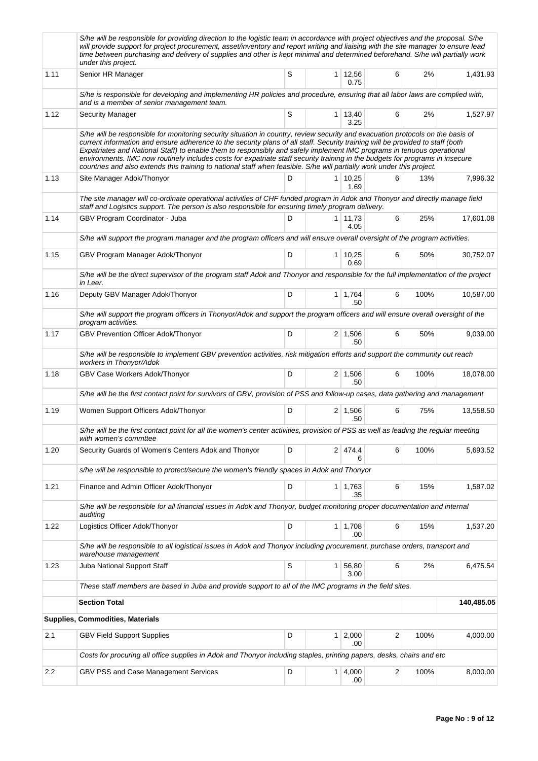|      | S/he will be responsible for providing direction to the logistic team in accordance with project objectives and the proposal. S/he<br>will provide support for project procurement, asset/inventory and report writing and liaising with the site manager to ensure lead<br>time between purchasing and delivery of supplies and other is kept minimal and determined beforehand. S/he will partially work<br>under this project.                                                                                                                                                                                                                      |   |                |                        |                         |      |            |
|------|--------------------------------------------------------------------------------------------------------------------------------------------------------------------------------------------------------------------------------------------------------------------------------------------------------------------------------------------------------------------------------------------------------------------------------------------------------------------------------------------------------------------------------------------------------------------------------------------------------------------------------------------------------|---|----------------|------------------------|-------------------------|------|------------|
| 1.11 | Senior HR Manager                                                                                                                                                                                                                                                                                                                                                                                                                                                                                                                                                                                                                                      | S |                | $1 \mid 12,56$<br>0.75 | 6                       | 2%   | 1,431.93   |
|      | S/he is responsible for developing and implementing HR policies and procedure, ensuring that all labor laws are complied with,<br>and is a member of senior management team.                                                                                                                                                                                                                                                                                                                                                                                                                                                                           |   |                |                        |                         |      |            |
| 1.12 | <b>Security Manager</b>                                                                                                                                                                                                                                                                                                                                                                                                                                                                                                                                                                                                                                | S |                | $1 \mid 13,40$<br>3.25 | 6                       | 2%   | 1,527.97   |
|      | S/he will be responsible for monitoring security situation in country, review security and evacuation protocols on the basis of<br>current information and ensure adherence to the security plans of all staff. Security training will be provided to staff (both<br>Expatriates and National Staff) to enable them to responsibly and safely implement IMC programs in tenuous operational<br>environments. IMC now routinely includes costs for expatriate staff security training in the budgets for programs in insecure<br>countries and also extends this training to national staff when feasible. S/he will partially work under this project. |   |                |                        |                         |      |            |
| 1.13 | Site Manager Adok/Thonyor                                                                                                                                                                                                                                                                                                                                                                                                                                                                                                                                                                                                                              | D |                | $1 \mid 10,25$<br>1.69 | 6                       | 13%  | 7,996.32   |
|      | The site manager will co-ordinate operational activities of CHF funded program in Adok and Thonyor and directly manage field<br>staff and Logistics support. The person is also responsible for ensuring timely program delivery.                                                                                                                                                                                                                                                                                                                                                                                                                      |   |                |                        |                         |      |            |
| 1.14 | GBV Program Coordinator - Juba                                                                                                                                                                                                                                                                                                                                                                                                                                                                                                                                                                                                                         | D |                | $1 \mid 11,73$<br>4.05 | 6                       | 25%  | 17,601.08  |
|      | S/he will support the program manager and the program officers and will ensure overall oversight of the program activities.                                                                                                                                                                                                                                                                                                                                                                                                                                                                                                                            |   |                |                        |                         |      |            |
| 1.15 | GBV Program Manager Adok/Thonyor                                                                                                                                                                                                                                                                                                                                                                                                                                                                                                                                                                                                                       | D |                | $1 \mid 10,25$<br>0.69 | 6                       | 50%  | 30,752.07  |
|      | S/he will be the direct supervisor of the program staff Adok and Thonyor and responsible for the full implementation of the project<br>in Leer.                                                                                                                                                                                                                                                                                                                                                                                                                                                                                                        |   |                |                        |                         |      |            |
| 1.16 | Deputy GBV Manager Adok/Thonyor                                                                                                                                                                                                                                                                                                                                                                                                                                                                                                                                                                                                                        | D |                | $1 \mid 1,764$<br>.50  | 6                       | 100% | 10,587.00  |
|      | S/he will support the program officers in Thonyor/Adok and support the program officers and will ensure overall oversight of the<br>program activities.                                                                                                                                                                                                                                                                                                                                                                                                                                                                                                |   |                |                        |                         |      |            |
| 1.17 | GBV Prevention Officer Adok/Thonyor                                                                                                                                                                                                                                                                                                                                                                                                                                                                                                                                                                                                                    | D |                | $2 \mid 1,506$<br>.50  | 6                       | 50%  | 9,039.00   |
|      | S/he will be responsible to implement GBV prevention activities, risk mitigation efforts and support the community out reach<br>workers in Thonyor/Adok                                                                                                                                                                                                                                                                                                                                                                                                                                                                                                |   |                |                        |                         |      |            |
| 1.18 | GBV Case Workers Adok/Thonyor                                                                                                                                                                                                                                                                                                                                                                                                                                                                                                                                                                                                                          | D |                | $2 \mid 1,506$<br>.50  | 6                       | 100% | 18,078.00  |
|      | S/he will be the first contact point for survivors of GBV, provision of PSS and follow-up cases, data gathering and management                                                                                                                                                                                                                                                                                                                                                                                                                                                                                                                         |   |                |                        |                         |      |            |
| 1.19 | Women Support Officers Adok/Thonyor                                                                                                                                                                                                                                                                                                                                                                                                                                                                                                                                                                                                                    | D |                | $2 \mid 1,506$<br>.50  | 6                       | 75%  | 13,558.50  |
|      | S/he will be the first contact point for all the women's center activities, provision of PSS as well as leading the regular meeting<br>with women's commttee                                                                                                                                                                                                                                                                                                                                                                                                                                                                                           |   |                |                        |                         |      |            |
| 1.20 | Security Guards of Women's Centers Adok and Thonyor                                                                                                                                                                                                                                                                                                                                                                                                                                                                                                                                                                                                    | D |                | 2 474.4<br>6           | 6                       | 100% | 5,693.52   |
|      | s/he will be responsible to protect/secure the women's friendly spaces in Adok and Thonyor                                                                                                                                                                                                                                                                                                                                                                                                                                                                                                                                                             |   |                |                        |                         |      |            |
| 1.21 | Finance and Admin Officer Adok/Thonyor                                                                                                                                                                                                                                                                                                                                                                                                                                                                                                                                                                                                                 | D |                | $1 \mid 1,763$<br>.35  | 6                       | 15%  | 1,587.02   |
|      | S/he will be responsible for all financial issues in Adok and Thonyor, budget monitoring proper documentation and internal<br>auditing                                                                                                                                                                                                                                                                                                                                                                                                                                                                                                                 |   |                |                        |                         |      |            |
| 1.22 | Logistics Officer Adok/Thonyor                                                                                                                                                                                                                                                                                                                                                                                                                                                                                                                                                                                                                         | D |                | 1 1,708<br>.00.        | 6                       | 15%  | 1,537.20   |
|      | S/he will be responsible to all logistical issues in Adok and Thonyor including procurement, purchase orders, transport and<br>warehouse management                                                                                                                                                                                                                                                                                                                                                                                                                                                                                                    |   |                |                        |                         |      |            |
| 1.23 | Juba National Support Staff                                                                                                                                                                                                                                                                                                                                                                                                                                                                                                                                                                                                                            | S | 1 <sup>1</sup> | 56,80<br>3.00          | 6                       | 2%   | 6,475.54   |
|      | These staff members are based in Juba and provide support to all of the IMC programs in the field sites.                                                                                                                                                                                                                                                                                                                                                                                                                                                                                                                                               |   |                |                        |                         |      |            |
|      | <b>Section Total</b>                                                                                                                                                                                                                                                                                                                                                                                                                                                                                                                                                                                                                                   |   |                |                        |                         |      | 140,485.05 |
|      | <b>Supplies, Commodities, Materials</b>                                                                                                                                                                                                                                                                                                                                                                                                                                                                                                                                                                                                                |   |                |                        |                         |      |            |
| 2.1  | <b>GBV Field Support Supplies</b>                                                                                                                                                                                                                                                                                                                                                                                                                                                                                                                                                                                                                      | D |                | $1 \mid 2,000$<br>.00  | 2                       | 100% | 4,000.00   |
|      | Costs for procuring all office supplies in Adok and Thonyor including staples, printing papers, desks, chairs and etc                                                                                                                                                                                                                                                                                                                                                                                                                                                                                                                                  |   |                |                        |                         |      |            |
| 2.2  | GBV PSS and Case Management Services                                                                                                                                                                                                                                                                                                                                                                                                                                                                                                                                                                                                                   | D | 1 <sup>1</sup> | 4,000<br>.00           | $\overline{\mathbf{c}}$ | 100% | 8,000.00   |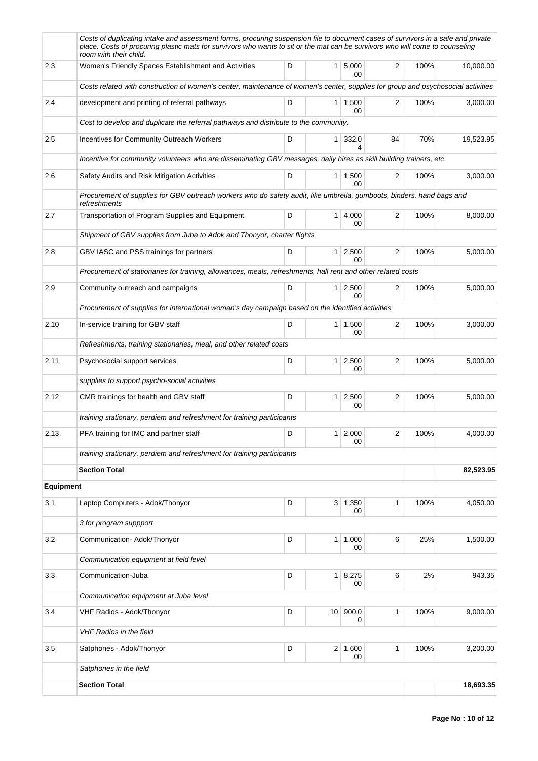|                  | Costs of duplicating intake and assessment forms, procuring suspension file to document cases of survivors in a safe and private<br>place. Costs of procuring plastic mats for survivors who wants to sit or the mat can be survivors who will come to counseling<br>room with their child. |                  |                |                        |          |      |           |
|------------------|---------------------------------------------------------------------------------------------------------------------------------------------------------------------------------------------------------------------------------------------------------------------------------------------|------------------|----------------|------------------------|----------|------|-----------|
| 2.3              | Women's Friendly Spaces Establishment and Activities                                                                                                                                                                                                                                        | D                |                | 1 5,000<br>.00.        | 2        | 100% | 10,000.00 |
|                  | Costs related with construction of women's center, maintenance of women's center, supplies for group and psychosocial activities                                                                                                                                                            |                  |                |                        |          |      |           |
| 2.4              | development and printing of referral pathways                                                                                                                                                                                                                                               | D                |                | $1 \mid 1,500$<br>.00  | 2        | 100% | 3,000.00  |
|                  | Cost to develop and duplicate the referral pathways and distribute to the community.                                                                                                                                                                                                        |                  |                |                        |          |      |           |
| 2.5              | Incentives for Community Outreach Workers                                                                                                                                                                                                                                                   | D                |                | 1 332.0<br>4           | 84       | 70%  | 19,523.95 |
|                  | Incentive for community volunteers who are disseminating GBV messages, daily hires as skill building trainers, etc                                                                                                                                                                          |                  |                |                        |          |      |           |
| 2.6              | Safety Audits and Risk Mitigation Activities                                                                                                                                                                                                                                                | D                |                | $1 \mid 1,500$<br>.00  | 2        | 100% | 3,000.00  |
|                  | Procurement of supplies for GBV outreach workers who do safety audit, like umbrella, gumboots, binders, hand bags and<br>refreshments                                                                                                                                                       |                  |                |                        |          |      |           |
| 2.7              | Transportation of Program Supplies and Equipment                                                                                                                                                                                                                                            | 1   4,000<br>.00 | 2              | 100%                   | 8.000.00 |      |           |
|                  | Shipment of GBV supplies from Juba to Adok and Thonyor, charter flights                                                                                                                                                                                                                     |                  |                |                        |          |      |           |
| 2.8              | GBV IASC and PSS trainings for partners                                                                                                                                                                                                                                                     | D                |                | 1 2,500<br>.00         | 2        | 100% | 5,000.00  |
|                  | Procurement of stationaries for training, allowances, meals, refreshments, hall rent and other related costs                                                                                                                                                                                |                  |                |                        |          |      |           |
| 2.9              | Community outreach and campaigns                                                                                                                                                                                                                                                            | D                |                | $1 \quad 2,500$<br>.00 | 2        | 100% | 5,000.00  |
|                  | Procurement of supplies for international woman's day campaign based on the identified activities                                                                                                                                                                                           |                  |                |                        |          |      |           |
| 2.10             | In-service training for GBV staff                                                                                                                                                                                                                                                           | D                |                | $1 \mid 1,500$<br>.00  | 2        | 100% | 3,000.00  |
|                  | Refreshments, training stationaries, meal, and other related costs                                                                                                                                                                                                                          |                  |                |                        |          |      |           |
| 2.11             | Psychosocial support services                                                                                                                                                                                                                                                               | D                |                | $1 \mid 2,500$<br>.00  | 2        | 100% | 5,000.00  |
|                  | supplies to support psycho-social activities                                                                                                                                                                                                                                                |                  |                |                        |          |      |           |
| 2.12             | CMR trainings for health and GBV staff                                                                                                                                                                                                                                                      | D                |                | $1 \mid 2,500$<br>.00  | 2        | 100% | 5,000.00  |
|                  | training stationary, perdiem and refreshment for training participants                                                                                                                                                                                                                      |                  |                |                        |          |      |           |
| 2.13             | PFA training for IMC and partner staff                                                                                                                                                                                                                                                      | D                |                | $1 \ 2,000$<br>.00     | 2        | 100% | 4.000.00  |
|                  | training stationary, perdiem and refreshment for training participants                                                                                                                                                                                                                      |                  |                |                        |          |      |           |
|                  | <b>Section Total</b>                                                                                                                                                                                                                                                                        |                  |                |                        |          |      | 82,523.95 |
| <b>Equipment</b> |                                                                                                                                                                                                                                                                                             |                  |                |                        |          |      |           |
| 3.1              | Laptop Computers - Adok/Thonyor                                                                                                                                                                                                                                                             | D                |                | $3 \mid 1,350$<br>.00  | 1        | 100% | 4,050.00  |
|                  | 3 for program suppport                                                                                                                                                                                                                                                                      |                  |                |                        |          |      |           |
| 3.2              | Communication- Adok/Thonyor                                                                                                                                                                                                                                                                 | D                | 1 <sup>1</sup> | 1,000<br>.00           | 6        | 25%  | 1,500.00  |
|                  | Communication equipment at field level                                                                                                                                                                                                                                                      |                  |                |                        |          |      |           |
| 3.3              | Communication-Juba                                                                                                                                                                                                                                                                          | D                |                | 1   8,275<br>.00       | 6        | 2%   | 943.35    |
|                  | Communication equipment at Juba level                                                                                                                                                                                                                                                       |                  |                |                        |          |      |           |
| 3.4              | VHF Radios - Adok/Thonyor                                                                                                                                                                                                                                                                   | D                |                | 10 900.0<br>0          | 1        | 100% | 9,000.00  |
|                  | <b>VHF Radios in the field</b>                                                                                                                                                                                                                                                              |                  |                |                        |          |      |           |
| 3.5              | Satphones - Adok/Thonyor                                                                                                                                                                                                                                                                    | D                |                | $2 \mid 1,600$<br>.00  | 1        | 100% | 3,200.00  |
|                  | Satphones in the field                                                                                                                                                                                                                                                                      |                  |                |                        |          |      |           |
|                  | <b>Section Total</b>                                                                                                                                                                                                                                                                        |                  |                |                        |          |      | 18,693.35 |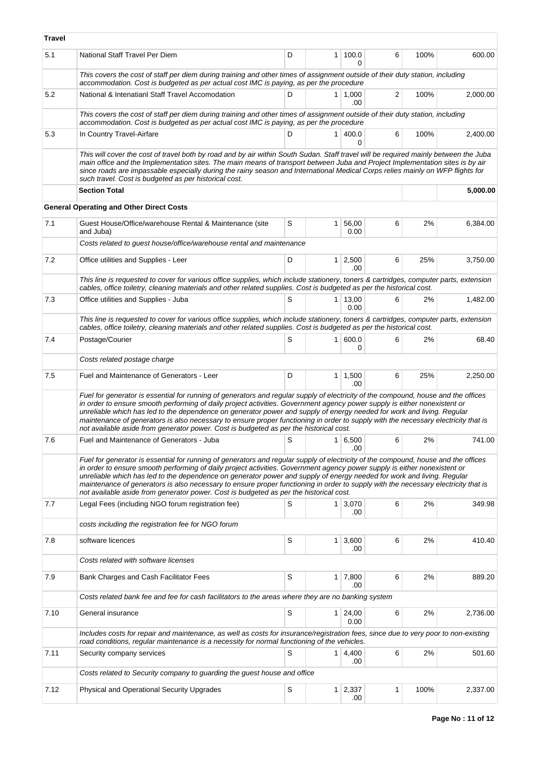| <b>Travel</b> |                                                                                                                                                                                                                                                                                                                                                                                                                                                                                                                                                                                                                           |           |                |                        |   |      |          |  |  |  |
|---------------|---------------------------------------------------------------------------------------------------------------------------------------------------------------------------------------------------------------------------------------------------------------------------------------------------------------------------------------------------------------------------------------------------------------------------------------------------------------------------------------------------------------------------------------------------------------------------------------------------------------------------|-----------|----------------|------------------------|---|------|----------|--|--|--|
| 5.1           | National Staff Travel Per Diem                                                                                                                                                                                                                                                                                                                                                                                                                                                                                                                                                                                            | D         | $\mathbf{1}$   | 100.0<br>U             | 6 | 100% | 600.00   |  |  |  |
|               | This covers the cost of staff per diem during training and other times of assignment outside of their duty station, including<br>accommodation. Cost is budgeted as per actual cost IMC is paying, as per the procedure                                                                                                                                                                                                                                                                                                                                                                                                   |           |                |                        |   |      |          |  |  |  |
| 5.2           | National & Intenatianl Staff Travel Accomodation                                                                                                                                                                                                                                                                                                                                                                                                                                                                                                                                                                          | D         |                | $1 \mid 1,000$<br>.00  | 2 | 100% | 2,000.00 |  |  |  |
|               | This covers the cost of staff per diem during training and other times of assignment outside of their duty station, including<br>accommodation. Cost is budgeted as per actual cost IMC is paying, as per the procedure                                                                                                                                                                                                                                                                                                                                                                                                   |           |                |                        |   |      |          |  |  |  |
| 5.3           | In Country Travel-Airfare                                                                                                                                                                                                                                                                                                                                                                                                                                                                                                                                                                                                 | D         | 1              | 400.0<br>0             | 6 | 100% | 2,400.00 |  |  |  |
|               | This will cover the cost of travel both by road and by air within South Sudan. Staff travel will be required mainly between the Juba<br>main office and the Implementation sites. The main means of transport between Juba and Project Implementation sites is by air<br>since roads are impassable especially during the rainy season and International Medical Corps relies mainly on WFP flights for<br>such travel. Cost is budgeted as per historical cost.                                                                                                                                                          |           |                |                        |   |      |          |  |  |  |
|               | <b>Section Total</b>                                                                                                                                                                                                                                                                                                                                                                                                                                                                                                                                                                                                      |           |                |                        |   |      | 5,000.00 |  |  |  |
|               | <b>General Operating and Other Direct Costs</b>                                                                                                                                                                                                                                                                                                                                                                                                                                                                                                                                                                           |           |                |                        |   |      |          |  |  |  |
| 7.1           | Guest House/Office/warehouse Rental & Maintenance (site<br>and Juba)                                                                                                                                                                                                                                                                                                                                                                                                                                                                                                                                                      | S         | $\mathbf{1}$   | 56,00<br>0.00          | 6 | 2%   | 6,384.00 |  |  |  |
|               | Costs related to guest house/office/warehouse rental and maintenance                                                                                                                                                                                                                                                                                                                                                                                                                                                                                                                                                      |           |                |                        |   |      |          |  |  |  |
| 7.2           | Office utilities and Supplies - Leer                                                                                                                                                                                                                                                                                                                                                                                                                                                                                                                                                                                      | D         | 1              | 2,500<br>.00           | 6 | 25%  | 3,750.00 |  |  |  |
|               | This line is requested to cover for various office supplies, which include stationery, toners & cartridges, computer parts, extension<br>cables, office toiletry, cleaning materials and other related supplies. Cost is budgeted as per the historical cost.                                                                                                                                                                                                                                                                                                                                                             |           |                |                        |   |      |          |  |  |  |
| 7.3           | Office utilities and Supplies - Juba                                                                                                                                                                                                                                                                                                                                                                                                                                                                                                                                                                                      | S         |                | $1 \mid 13,00$<br>0.00 | 6 | 2%   | 1,482.00 |  |  |  |
|               | This line is requested to cover for various office supplies, which include stationery, toners & cartridges, computer parts, extension<br>cables, office toiletry, cleaning materials and other related supplies. Cost is budgeted as per the historical cost.                                                                                                                                                                                                                                                                                                                                                             |           |                |                        |   |      |          |  |  |  |
| 7.4           | Postage/Courier                                                                                                                                                                                                                                                                                                                                                                                                                                                                                                                                                                                                           | S         | 1 <sup>1</sup> | 600.0<br>0             | 6 | 2%   | 68.40    |  |  |  |
|               | Costs related postage charge                                                                                                                                                                                                                                                                                                                                                                                                                                                                                                                                                                                              |           |                |                        |   |      |          |  |  |  |
| 7.5           | Fuel and Maintenance of Generators - Leer                                                                                                                                                                                                                                                                                                                                                                                                                                                                                                                                                                                 | D         |                | $1 \mid 1,500$<br>.00  | 6 | 25%  | 2,250.00 |  |  |  |
|               | Fuel for generator is essential for running of generators and regular supply of electricity of the compound, house and the offices<br>in order to ensure smooth performing of daily project activities. Government agency power supply is either nonexistent or<br>unreliable which has led to the dependence on generator power and supply of energy needed for work and living. Regular<br>maintenance of generators is also necessary to ensure proper functioning in order to supply with the necessary electricity that is<br>not available aside from generator power. Cost is budgeted as per the historical cost. |           |                |                        |   |      |          |  |  |  |
| 7.6           | Fuel and Maintenance of Generators - Juba                                                                                                                                                                                                                                                                                                                                                                                                                                                                                                                                                                                 | $\vert s$ |                | 1 6,500 <br>.00        | 6 | 2%   | 741.00   |  |  |  |
|               | Fuel for generator is essential for running of generators and regular supply of electricity of the compound, house and the offices<br>in order to ensure smooth performing of daily project activities. Government agency power supply is either nonexistent or<br>unreliable which has led to the dependence on generator power and supply of energy needed for work and living. Regular<br>maintenance of generators is also necessary to ensure proper functioning in order to supply with the necessary electricity that is<br>not available aside from generator power. Cost is budgeted as per the historical cost. |           |                |                        |   |      |          |  |  |  |
| 7.7           | Legal Fees (including NGO forum registration fee)                                                                                                                                                                                                                                                                                                                                                                                                                                                                                                                                                                         | S         | 1 <sup>1</sup> | 3,070<br>.00           | 6 | 2%   | 349.98   |  |  |  |
|               | costs including the registration fee for NGO forum                                                                                                                                                                                                                                                                                                                                                                                                                                                                                                                                                                        |           |                |                        |   |      |          |  |  |  |
| 7.8           | software licences                                                                                                                                                                                                                                                                                                                                                                                                                                                                                                                                                                                                         | S         | $\mathbf{1}$   | 3,600<br>.00           | 6 | 2%   | 410.40   |  |  |  |
|               | Costs related with software licenses                                                                                                                                                                                                                                                                                                                                                                                                                                                                                                                                                                                      |           |                |                        |   |      |          |  |  |  |
| 7.9           | Bank Charges and Cash Facilitator Fees                                                                                                                                                                                                                                                                                                                                                                                                                                                                                                                                                                                    | S         |                | $1 \mid 7,800$<br>.00  | 6 | 2%   | 889.20   |  |  |  |
|               | Costs related bank fee and fee for cash facilitators to the areas where they are no banking system                                                                                                                                                                                                                                                                                                                                                                                                                                                                                                                        |           |                |                        |   |      |          |  |  |  |
| 7.10          | General insurance                                                                                                                                                                                                                                                                                                                                                                                                                                                                                                                                                                                                         | S         | 1 <sup>1</sup> | 24,00<br>0.00          | 6 | 2%   | 2,736.00 |  |  |  |
|               | Includes costs for repair and maintenance, as well as costs for insurance/registration fees, since due to very poor to non-existing<br>road conditions, regular maintenance is a necessity for normal functioning of the vehicles.                                                                                                                                                                                                                                                                                                                                                                                        |           |                |                        |   |      |          |  |  |  |
| 7.11          | Security company services                                                                                                                                                                                                                                                                                                                                                                                                                                                                                                                                                                                                 | S         | $\mathbf{1}$   | 4,400<br>.00           | 6 | 2%   | 501.60   |  |  |  |
|               | Costs related to Security company to guarding the guest house and office                                                                                                                                                                                                                                                                                                                                                                                                                                                                                                                                                  |           |                |                        |   |      |          |  |  |  |
| 7.12          | Physical and Operational Security Upgrades                                                                                                                                                                                                                                                                                                                                                                                                                                                                                                                                                                                | S         | $\mathbf{1}$   | 2,337<br>.00           | 1 | 100% | 2,337.00 |  |  |  |